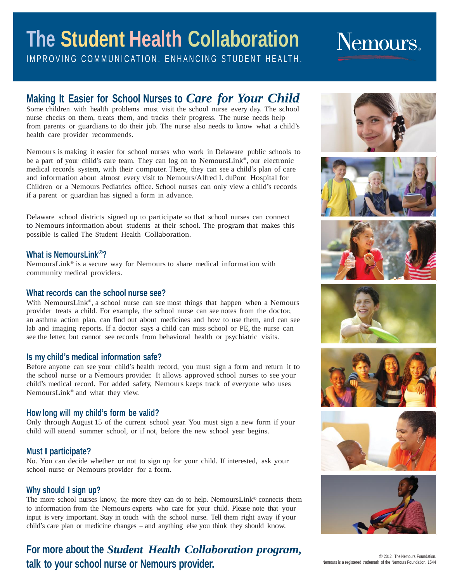## **The Student Health Collaboration** IMPROVING COMMUNICATION. ENHANCING STUDENT HEALTH.

# Nemours.

## **Making It Easier for School Nurses to** *Care for Your Child*

Some children with health problems must visit the school nurse every day. The school nurse checks on them, treats them, and tracks their progress. The nurse needs help from parents or guardians to do their job. The nurse also needs to know what a child's health care provider recommends.

Nemours is making it easier for school nurses who work in Delaware public schools to be a part of your child's care team. They can log on to NemoursLink® , our electronic medical records system, with their computer. There, they can see a child's plan of care and information about almost every visit to Nemours/Alfred I. duPont Hospital for Children or a Nemours Pediatrics office. School nurses can only view a child's records if a parent or guardian has signed a form in advance.

Delaware school districts signed up to participate so that school nurses can connect to Nemours information about students at their school. The program that makes this possible is called The Student Health Collaboration.

### **What is NemoursLink®?**

NemoursLink® is a secure way for Nemours to share medical information with community medical providers.

### **What records can the school nurse see?**

With NemoursLink®, a school nurse can see most things that happen when a Nemours provider treats a child. For example, the school nurse can see notes from the doctor, an asthma action plan, can find out about medicines and how to use them, and can see lab and imaging reports. If a doctor says a child can miss school or PE, the nurse can see the letter, but cannot see records from behavioral health or psychiatric visits.

### **Is my child's medical information safe?**

Before anyone can see your child's health record, you must sign a form and return it to the school nurse or a Nemours provider. It allows approved school nurses to see your child's medical record. For added safety, Nemours keeps track of everyone who uses NemoursLink® and what they view.

### **How long will my child's form be valid?**

Only through August 15 of the current school year. You must sign a new form if your child will attend summer school, or if not, before the new school year begins.

### **Must I participate?**

No. You can decide whether or not to sign up for your child. If interested, ask your school nurse or Nemours provider for a form.

### **Why should I sign up?**

The more school nurses know, the more they can do to help. NemoursLink® connects them to information from the Nemours experts who care for your child. Please note that your input is very important. Stay in touch with the school nurse. Tell them right away if your child's care plan or medicine changes – and anything else you think they should know.

## **For more about the** *Student Health Collaboration program,* **talk to your school nurse or Nemours provider.**